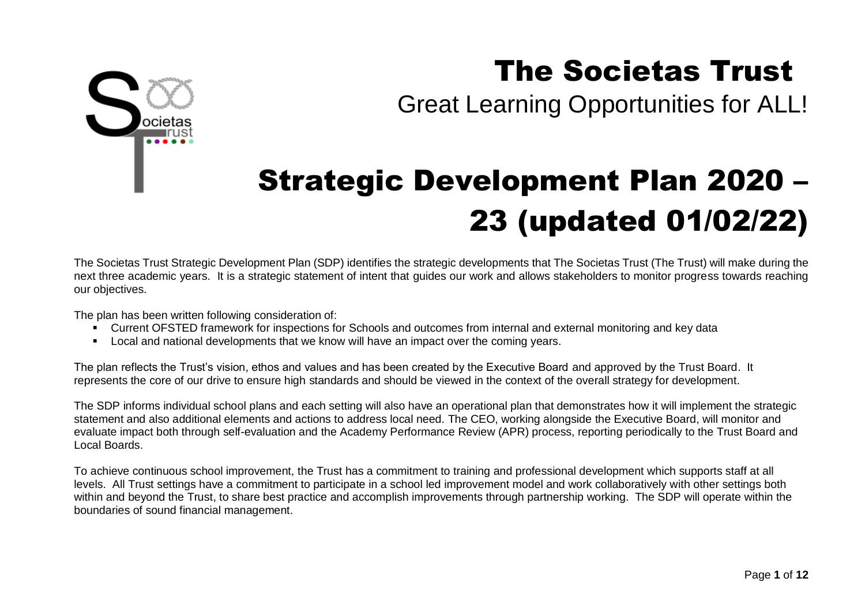

## The Societas Trust

Great Learning Opportunities for ALL!

## Strategic Development Plan 2020 – 23 (updated 01/02/22)

The Societas Trust Strategic Development Plan (SDP) identifies the strategic developments that The Societas Trust (The Trust) will make during the next three academic years. It is a strategic statement of intent that guides our work and allows stakeholders to monitor progress towards reaching our objectives.

The plan has been written following consideration of:

- Current OFSTED framework for inspections for Schools and outcomes from internal and external monitoring and key data
- **Local and national developments that we know will have an impact over the coming years.**

The plan reflects the Trust's vision, ethos and values and has been created by the Executive Board and approved by the Trust Board. It represents the core of our drive to ensure high standards and should be viewed in the context of the overall strategy for development.

The SDP informs individual school plans and each setting will also have an operational plan that demonstrates how it will implement the strategic statement and also additional elements and actions to address local need. The CEO, working alongside the Executive Board, will monitor and evaluate impact both through self-evaluation and the Academy Performance Review (APR) process, reporting periodically to the Trust Board and Local Boards.

To achieve continuous school improvement, the Trust has a commitment to training and professional development which supports staff at all levels. All Trust settings have a commitment to participate in a school led improvement model and work collaboratively with other settings both within and beyond the Trust, to share best practice and accomplish improvements through partnership working. The SDP will operate within the boundaries of sound financial management.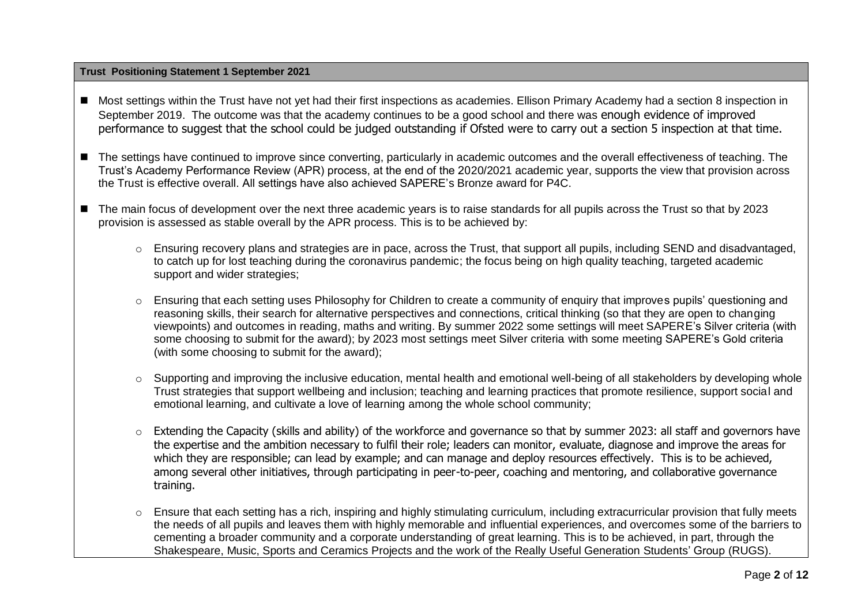## **Trust Positioning Statement 1 September 2021**

- Most settings within the Trust have not yet had their first inspections as academies. Ellison Primary Academy had a section 8 inspection in September 2019. The outcome was that the academy continues to be a good school and there was enough evidence of improved performance to suggest that the school could be judged outstanding if Ofsted were to carry out a section 5 inspection at that time.
- The settings have continued to improve since converting, particularly in academic outcomes and the overall effectiveness of teaching. The Trust's Academy Performance Review (APR) process, at the end of the 2020/2021 academic year, supports the view that provision across the Trust is effective overall. All settings have also achieved SAPERE's Bronze award for P4C.
- The main focus of development over the next three academic years is to raise standards for all pupils across the Trust so that by 2023 provision is assessed as stable overall by the APR process. This is to be achieved by:
	- o Ensuring recovery plans and strategies are in pace, across the Trust, that support all pupils, including SEND and disadvantaged, to catch up for lost teaching during the coronavirus pandemic; the focus being on high quality teaching, targeted academic support and wider strategies;
	- o Ensuring that each setting uses Philosophy for Children to create a community of enquiry that improves pupils' questioning and reasoning skills, their search for alternative perspectives and connections, critical thinking (so that they are open to changing viewpoints) and outcomes in reading, maths and writing. By summer 2022 some settings will meet SAPERE's Silver criteria (with some choosing to submit for the award); by 2023 most settings meet Silver criteria with some meeting SAPERE's Gold criteria (with some choosing to submit for the award);
	- $\circ$  Supporting and improving the inclusive education, mental health and emotional well-being of all stakeholders by developing whole Trust strategies that support wellbeing and inclusion; teaching and learning practices that promote resilience, support social and emotional learning, and cultivate a love of learning among the whole school community;
	- $\circ$  Extending the Capacity (skills and ability) of the workforce and governance so that by summer 2023: all staff and governors have the expertise and the ambition necessary to fulfil their role; leaders can monitor, evaluate, diagnose and improve the areas for which they are responsible; can lead by example; and can manage and deploy resources effectively. This is to be achieved, among several other initiatives, through participating in peer-to-peer, coaching and mentoring, and collaborative governance training.
	- $\circ$  Ensure that each setting has a rich, inspiring and highly stimulating curriculum, including extracurricular provision that fully meets the needs of all pupils and leaves them with highly memorable and influential experiences, and overcomes some of the barriers to cementing a broader community and a corporate understanding of great learning. This is to be achieved, in part, through the Shakespeare, Music, Sports and Ceramics Projects and the work of the Really Useful Generation Students' Group (RUGS).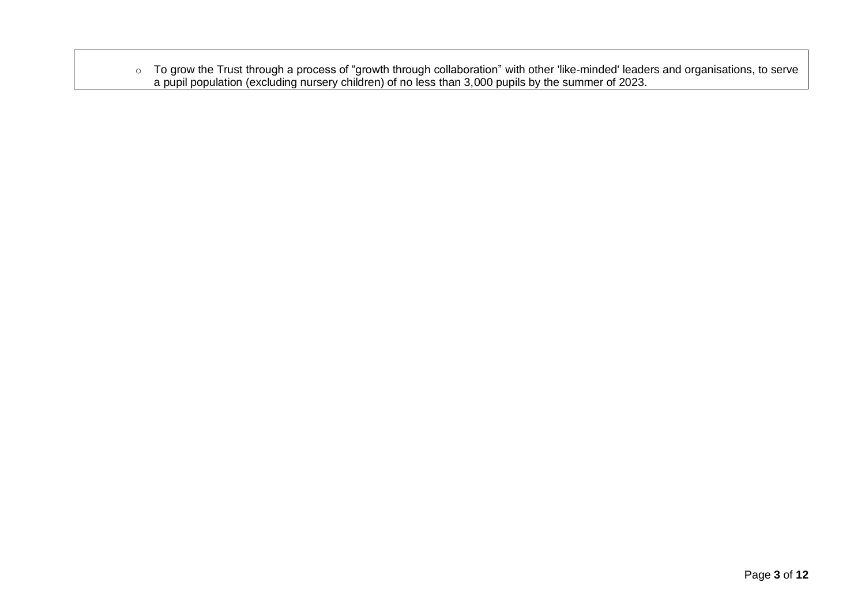o To grow the Trust through a process of "growth through collaboration" with other 'like-minded' leaders and organisations, to serve a pupil population (excluding nursery children) of no less than 3,000 pupils by the summer of 2023.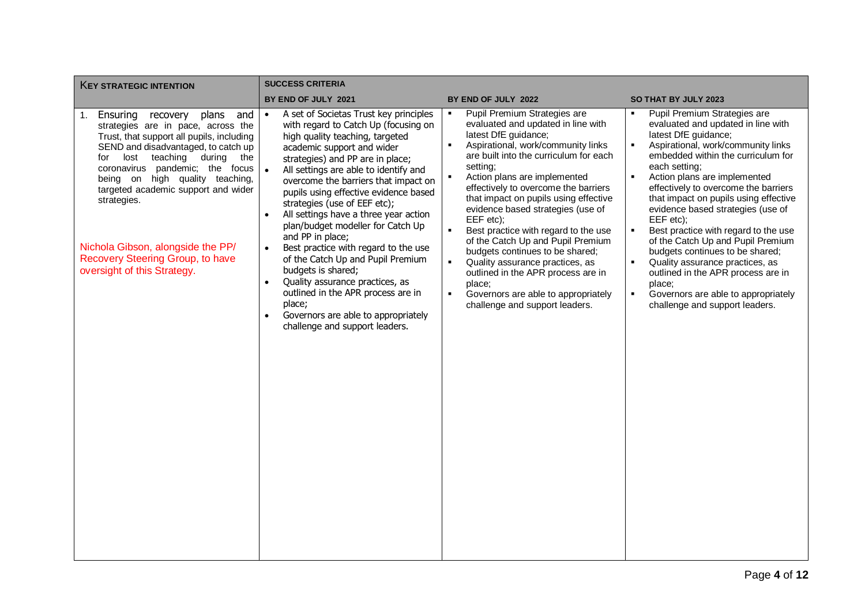| <b>KEY STRATEGIC INTENTION</b>                                                                                                                                                                                                                                                                                                                                                                                                                 | <b>SUCCESS CRITERIA</b>                                                                                                                                                                                                                                                                                                                                                                                                                                                                                                                                                                                                                                                                                                                                                         |                                                                                                                                                                                                                                                                                                                                                                                                                                                                                                                                                                                                                                                                                                                                      |                                                                                                                                                                                                                                                                                                                                                                                                                                                                                                                                                                                                                                                                                                                     |
|------------------------------------------------------------------------------------------------------------------------------------------------------------------------------------------------------------------------------------------------------------------------------------------------------------------------------------------------------------------------------------------------------------------------------------------------|---------------------------------------------------------------------------------------------------------------------------------------------------------------------------------------------------------------------------------------------------------------------------------------------------------------------------------------------------------------------------------------------------------------------------------------------------------------------------------------------------------------------------------------------------------------------------------------------------------------------------------------------------------------------------------------------------------------------------------------------------------------------------------|--------------------------------------------------------------------------------------------------------------------------------------------------------------------------------------------------------------------------------------------------------------------------------------------------------------------------------------------------------------------------------------------------------------------------------------------------------------------------------------------------------------------------------------------------------------------------------------------------------------------------------------------------------------------------------------------------------------------------------------|---------------------------------------------------------------------------------------------------------------------------------------------------------------------------------------------------------------------------------------------------------------------------------------------------------------------------------------------------------------------------------------------------------------------------------------------------------------------------------------------------------------------------------------------------------------------------------------------------------------------------------------------------------------------------------------------------------------------|
|                                                                                                                                                                                                                                                                                                                                                                                                                                                | BY END OF JULY 2021                                                                                                                                                                                                                                                                                                                                                                                                                                                                                                                                                                                                                                                                                                                                                             | BY END OF JULY 2022                                                                                                                                                                                                                                                                                                                                                                                                                                                                                                                                                                                                                                                                                                                  | SO THAT BY JULY 2023                                                                                                                                                                                                                                                                                                                                                                                                                                                                                                                                                                                                                                                                                                |
| Ensuring<br>and<br>1.<br>recovery<br>plans<br>strategies are in pace, across the<br>Trust, that support all pupils, including<br>SEND and disadvantaged, to catch up<br>lost<br>teaching during the<br>for<br>coronavirus pandemic; the focus<br>being on high quality teaching,<br>targeted academic support and wider<br>strategies.<br>Nichola Gibson, alongside the PP/<br>Recovery Steering Group, to have<br>oversight of this Strategy. | A set of Societas Trust key principles<br>$\bullet$<br>with regard to Catch Up (focusing on<br>high quality teaching, targeted<br>academic support and wider<br>strategies) and PP are in place;<br>All settings are able to identify and<br>overcome the barriers that impact on<br>pupils using effective evidence based<br>strategies (use of EEF etc);<br>All settings have a three year action<br>$\bullet$<br>plan/budget modeller for Catch Up<br>and PP in place;<br>Best practice with regard to the use<br>$\bullet$<br>of the Catch Up and Pupil Premium<br>budgets is shared;<br>Quality assurance practices, as<br>$\bullet$<br>outlined in the APR process are in<br>place;<br>Governors are able to appropriately<br>$\bullet$<br>challenge and support leaders. | Pupil Premium Strategies are<br>٠<br>evaluated and updated in line with<br>latest DfE guidance;<br>Aspirational, work/community links<br>$\blacksquare$<br>are built into the curriculum for each<br>setting:<br>$\blacksquare$<br>Action plans are implemented<br>effectively to overcome the barriers<br>that impact on pupils using effective<br>evidence based strategies (use of<br>EEF etc);<br>$\blacksquare$<br>Best practice with regard to the use<br>of the Catch Up and Pupil Premium<br>budgets continues to be shared;<br>$\blacksquare$<br>Quality assurance practices, as<br>outlined in the APR process are in<br>place;<br>Governors are able to appropriately<br>$\blacksquare$<br>challenge and support leaders. | Pupil Premium Strategies are<br>٠<br>evaluated and updated in line with<br>latest DfE guidance;<br>$\blacksquare$<br>Aspirational, work/community links<br>embedded within the curriculum for<br>each setting:<br>$\blacksquare$<br>Action plans are implemented<br>effectively to overcome the barriers<br>that impact on pupils using effective<br>evidence based strategies (use of<br>EEF etc);<br>Best practice with regard to the use<br>of the Catch Up and Pupil Premium<br>budgets continues to be shared;<br>Quality assurance practices, as<br>$\blacksquare$<br>outlined in the APR process are in<br>place;<br>$\blacksquare$<br>Governors are able to appropriately<br>challenge and support leaders. |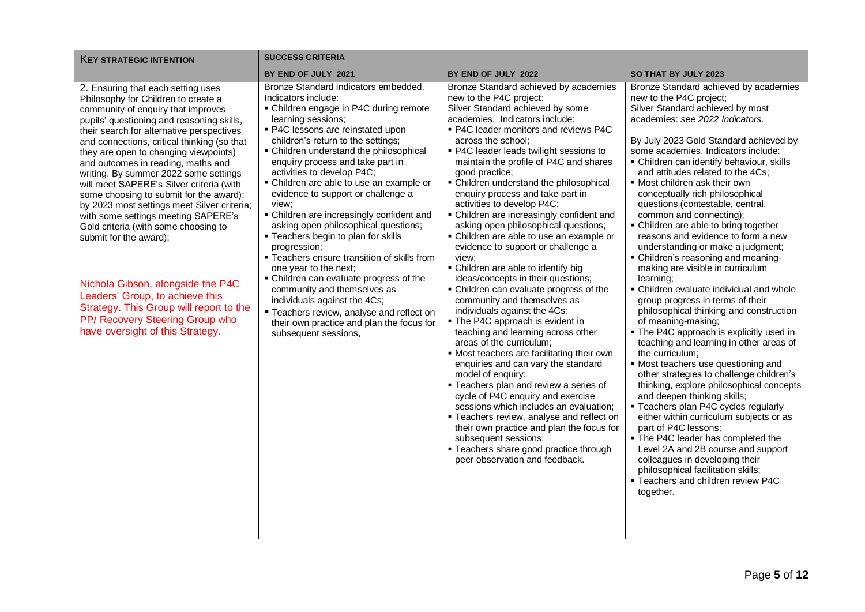| <b>KEY STRATEGIC INTENTION</b>                                                                                                                                                                                                                                                                                                                                                                                                                                                                                                                                                                                                                                                                                                                                                                                            | <b>SUCCESS CRITERIA</b>                                                                                                                                                                                                                                                                                                                                                                                                                                                                                                                                                                                                                                                                                                                                                                                                                                        |                                                                                                                                                                                                                                                                                                                                                                                                                                                                                                                                                                                                                                                                                                                                                                                                                                                                                                                                                                                                                                                                                                                                                                                                                                                                                                                                         |                                                                                                                                                                                                                                                                                                                                                                                                                                                                                                                                                                                                                                                                                                                                                                                                                                                                                                                                                                                                                                                                                                                                                                                                                                                                                                                                                                                                      |  |
|---------------------------------------------------------------------------------------------------------------------------------------------------------------------------------------------------------------------------------------------------------------------------------------------------------------------------------------------------------------------------------------------------------------------------------------------------------------------------------------------------------------------------------------------------------------------------------------------------------------------------------------------------------------------------------------------------------------------------------------------------------------------------------------------------------------------------|----------------------------------------------------------------------------------------------------------------------------------------------------------------------------------------------------------------------------------------------------------------------------------------------------------------------------------------------------------------------------------------------------------------------------------------------------------------------------------------------------------------------------------------------------------------------------------------------------------------------------------------------------------------------------------------------------------------------------------------------------------------------------------------------------------------------------------------------------------------|-----------------------------------------------------------------------------------------------------------------------------------------------------------------------------------------------------------------------------------------------------------------------------------------------------------------------------------------------------------------------------------------------------------------------------------------------------------------------------------------------------------------------------------------------------------------------------------------------------------------------------------------------------------------------------------------------------------------------------------------------------------------------------------------------------------------------------------------------------------------------------------------------------------------------------------------------------------------------------------------------------------------------------------------------------------------------------------------------------------------------------------------------------------------------------------------------------------------------------------------------------------------------------------------------------------------------------------------|------------------------------------------------------------------------------------------------------------------------------------------------------------------------------------------------------------------------------------------------------------------------------------------------------------------------------------------------------------------------------------------------------------------------------------------------------------------------------------------------------------------------------------------------------------------------------------------------------------------------------------------------------------------------------------------------------------------------------------------------------------------------------------------------------------------------------------------------------------------------------------------------------------------------------------------------------------------------------------------------------------------------------------------------------------------------------------------------------------------------------------------------------------------------------------------------------------------------------------------------------------------------------------------------------------------------------------------------------------------------------------------------------|--|
|                                                                                                                                                                                                                                                                                                                                                                                                                                                                                                                                                                                                                                                                                                                                                                                                                           | BY END OF JULY 2021                                                                                                                                                                                                                                                                                                                                                                                                                                                                                                                                                                                                                                                                                                                                                                                                                                            | BY END OF JULY 2022                                                                                                                                                                                                                                                                                                                                                                                                                                                                                                                                                                                                                                                                                                                                                                                                                                                                                                                                                                                                                                                                                                                                                                                                                                                                                                                     | <b>SO THAT BY JULY 2023</b>                                                                                                                                                                                                                                                                                                                                                                                                                                                                                                                                                                                                                                                                                                                                                                                                                                                                                                                                                                                                                                                                                                                                                                                                                                                                                                                                                                          |  |
| 2. Ensuring that each setting uses<br>Philosophy for Children to create a<br>community of enquiry that improves<br>pupils' questioning and reasoning skills,<br>their search for alternative perspectives<br>and connections, critical thinking (so that<br>they are open to changing viewpoints)<br>and outcomes in reading, maths and<br>writing. By summer 2022 some settings<br>will meet SAPERE's Silver criteria (with<br>some choosing to submit for the award);<br>by 2023 most settings meet Silver criteria;<br>with some settings meeting SAPERE's<br>Gold criteria (with some choosing to<br>submit for the award);<br>Nichola Gibson, alongside the P4C<br>Leaders' Group, to achieve this<br>Strategy. This Group will report to the<br>PP/ Recovery Steering Group who<br>have oversight of this Strategy. | Bronze Standard indicators embedded.<br>Indicators include:<br>• Children engage in P4C during remote<br>learning sessions;<br>• P4C lessons are reinstated upon<br>children's return to the settings;<br>• Children understand the philosophical<br>enquiry process and take part in<br>activities to develop P4C;<br>• Children are able to use an example or<br>evidence to support or challenge a<br>view;<br>• Children are increasingly confident and<br>asking open philosophical questions;<br>- Teachers begin to plan for skills<br>progression;<br>• Teachers ensure transition of skills from<br>one year to the next;<br>• Children can evaluate progress of the<br>community and themselves as<br>individuals against the 4Cs;<br>" Teachers review, analyse and reflect on<br>their own practice and plan the focus for<br>subsequent sessions, | Bronze Standard achieved by academies<br>new to the P4C project;<br>Silver Standard achieved by some<br>academies. Indicators include:<br>• P4C leader monitors and reviews P4C<br>across the school;<br>• P4C leader leads twilight sessions to<br>maintain the profile of P4C and shares<br>good practice;<br>• Children understand the philosophical<br>enquiry process and take part in<br>activities to develop P4C;<br>• Children are increasingly confident and<br>asking open philosophical questions;<br>• Children are able to use an example or<br>evidence to support or challenge a<br>view;<br>• Children are able to identify big<br>ideas/concepts in their questions;<br>• Children can evaluate progress of the<br>community and themselves as<br>individuals against the 4Cs;<br>• The P4C approach is evident in<br>teaching and learning across other<br>areas of the curriculum;<br>• Most teachers are facilitating their own<br>enquiries and can vary the standard<br>model of enquiry;<br>• Teachers plan and review a series of<br>cycle of P4C enquiry and exercise<br>sessions which includes an evaluation;<br>• Teachers review, analyse and reflect on<br>their own practice and plan the focus for<br>subsequent sessions;<br>• Teachers share good practice through<br>peer observation and feedback. | Bronze Standard achieved by academies<br>new to the P4C project;<br>Silver Standard achieved by most<br>academies: see 2022 Indicators.<br>By July 2023 Gold Standard achieved by<br>some academies. Indicators include:<br>• Children can identify behaviour, skills<br>and attitudes related to the 4Cs;<br>. Most children ask their own<br>conceptually rich philosophical<br>questions (contestable, central,<br>common and connecting);<br>• Children are able to bring together<br>reasons and evidence to form a new<br>understanding or make a judgment;<br>• Children's reasoning and meaning-<br>making are visible in curriculum<br>learning;<br>• Children evaluate individual and whole<br>group progress in terms of their<br>philosophical thinking and construction<br>of meaning-making;<br>• The P4C approach is explicitly used in<br>teaching and learning in other areas of<br>the curriculum;<br>• Most teachers use questioning and<br>other strategies to challenge children's<br>thinking, explore philosophical concepts<br>and deepen thinking skills;<br>- Teachers plan P4C cycles regularly<br>either within curriculum subjects or as<br>part of P4C lessons;<br>. The P4C leader has completed the<br>Level 2A and 2B course and support<br>colleagues in developing their<br>philosophical facilitation skills;<br>- Teachers and children review P4C<br>together. |  |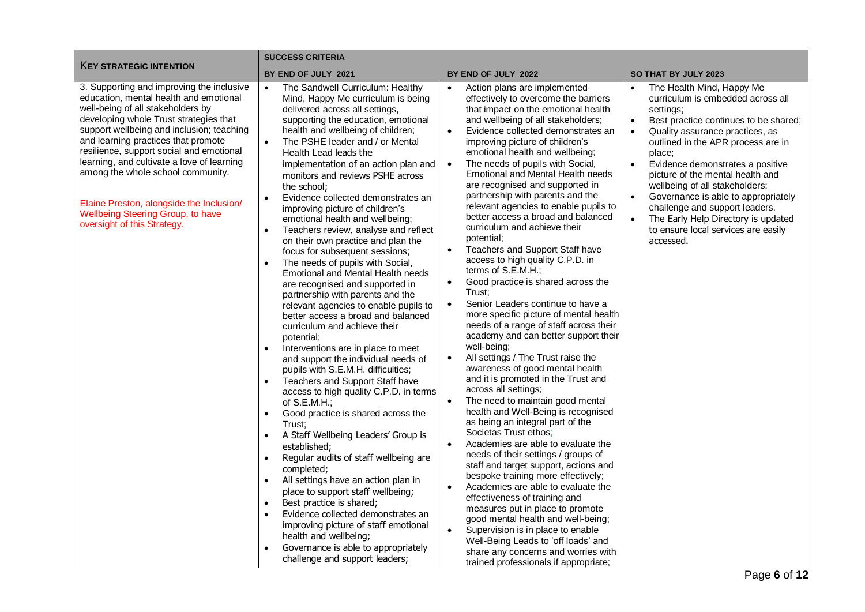|                                                                                                                                                                                                                                                                                                                                                                                                                                                                                                       | <b>SUCCESS CRITERIA</b>                                                                                                                                                                                                                                                                                                                                                                                                                                                                                                                                                                                                                                                                                                                                                                                                                                                                                                                                                                                                                                                                                                                                                                                                                                                                                                                                                                                                                                                                                                                                                                                                                                                                |                                                                                                                                                                                                                                                                                                                                                                                                                                                                                                                                                                                                                                                                                                                                                                                                                                                                                                                                                                                                                                                                                                                                                                                                                                                                                                                                                                                                                                                                                                                                                                                                                                                                                                                                                                                    |                                                                                                                                                                                                                                                                                                                                                                                                                                                                                                                                                        |  |
|-------------------------------------------------------------------------------------------------------------------------------------------------------------------------------------------------------------------------------------------------------------------------------------------------------------------------------------------------------------------------------------------------------------------------------------------------------------------------------------------------------|----------------------------------------------------------------------------------------------------------------------------------------------------------------------------------------------------------------------------------------------------------------------------------------------------------------------------------------------------------------------------------------------------------------------------------------------------------------------------------------------------------------------------------------------------------------------------------------------------------------------------------------------------------------------------------------------------------------------------------------------------------------------------------------------------------------------------------------------------------------------------------------------------------------------------------------------------------------------------------------------------------------------------------------------------------------------------------------------------------------------------------------------------------------------------------------------------------------------------------------------------------------------------------------------------------------------------------------------------------------------------------------------------------------------------------------------------------------------------------------------------------------------------------------------------------------------------------------------------------------------------------------------------------------------------------------|------------------------------------------------------------------------------------------------------------------------------------------------------------------------------------------------------------------------------------------------------------------------------------------------------------------------------------------------------------------------------------------------------------------------------------------------------------------------------------------------------------------------------------------------------------------------------------------------------------------------------------------------------------------------------------------------------------------------------------------------------------------------------------------------------------------------------------------------------------------------------------------------------------------------------------------------------------------------------------------------------------------------------------------------------------------------------------------------------------------------------------------------------------------------------------------------------------------------------------------------------------------------------------------------------------------------------------------------------------------------------------------------------------------------------------------------------------------------------------------------------------------------------------------------------------------------------------------------------------------------------------------------------------------------------------------------------------------------------------------------------------------------------------|--------------------------------------------------------------------------------------------------------------------------------------------------------------------------------------------------------------------------------------------------------------------------------------------------------------------------------------------------------------------------------------------------------------------------------------------------------------------------------------------------------------------------------------------------------|--|
| <b>KEY STRATEGIC INTENTION</b>                                                                                                                                                                                                                                                                                                                                                                                                                                                                        | BY END OF JULY 2021                                                                                                                                                                                                                                                                                                                                                                                                                                                                                                                                                                                                                                                                                                                                                                                                                                                                                                                                                                                                                                                                                                                                                                                                                                                                                                                                                                                                                                                                                                                                                                                                                                                                    | BY END OF JULY 2022                                                                                                                                                                                                                                                                                                                                                                                                                                                                                                                                                                                                                                                                                                                                                                                                                                                                                                                                                                                                                                                                                                                                                                                                                                                                                                                                                                                                                                                                                                                                                                                                                                                                                                                                                                | <b>SO THAT BY JULY 2023</b>                                                                                                                                                                                                                                                                                                                                                                                                                                                                                                                            |  |
| 3. Supporting and improving the inclusive<br>education, mental health and emotional<br>well-being of all stakeholders by<br>developing whole Trust strategies that<br>support wellbeing and inclusion; teaching<br>and learning practices that promote<br>resilience, support social and emotional<br>learning, and cultivate a love of learning<br>among the whole school community.<br>Elaine Preston, alongside the Inclusion/<br>Wellbeing Steering Group, to have<br>oversight of this Strategy. | The Sandwell Curriculum: Healthy<br>$\bullet$<br>Mind, Happy Me curriculum is being<br>delivered across all settings,<br>supporting the education, emotional<br>health and wellbeing of children;<br>The PSHE leader and / or Mental<br>Health Lead leads the<br>implementation of an action plan and<br>monitors and reviews PSHE across<br>the school;<br>Evidence collected demonstrates an<br>$\bullet$<br>improving picture of children's<br>emotional health and wellbeing;<br>Teachers review, analyse and reflect<br>$\bullet$<br>on their own practice and plan the<br>focus for subsequent sessions;<br>The needs of pupils with Social,<br>$\bullet$<br>Emotional and Mental Health needs<br>are recognised and supported in<br>partnership with parents and the<br>relevant agencies to enable pupils to<br>better access a broad and balanced<br>curriculum and achieve their<br>potential;<br>Interventions are in place to meet<br>$\bullet$<br>and support the individual needs of<br>pupils with S.E.M.H. difficulties;<br>Teachers and Support Staff have<br>$\bullet$<br>access to high quality C.P.D. in terms<br>of S.E.M.H.;<br>Good practice is shared across the<br>$\bullet$<br>Trust:<br>A Staff Wellbeing Leaders' Group is<br>$\bullet$<br>established;<br>Regular audits of staff wellbeing are<br>$\bullet$<br>completed;<br>All settings have an action plan in<br>$\bullet$<br>place to support staff wellbeing;<br>Best practice is shared;<br>$\bullet$<br>Evidence collected demonstrates an<br>$\bullet$<br>improving picture of staff emotional<br>health and wellbeing;<br>Governance is able to appropriately<br>challenge and support leaders; | Action plans are implemented<br>$\bullet$<br>effectively to overcome the barriers<br>that impact on the emotional health<br>and wellbeing of all stakeholders;<br>Evidence collected demonstrates an<br>$\bullet$<br>improving picture of children's<br>emotional health and wellbeing;<br>The needs of pupils with Social,<br>$\bullet$<br>Emotional and Mental Health needs<br>are recognised and supported in<br>partnership with parents and the<br>relevant agencies to enable pupils to<br>better access a broad and balanced<br>curriculum and achieve their<br>potential;<br>Teachers and Support Staff have<br>$\bullet$<br>access to high quality C.P.D. in<br>terms of $S.E.M.H.$ ;<br>Good practice is shared across the<br>$\bullet$<br>Trust:<br>Senior Leaders continue to have a<br>$\bullet$<br>more specific picture of mental health<br>needs of a range of staff across their<br>academy and can better support their<br>well-being;<br>All settings / The Trust raise the<br>$\bullet$<br>awareness of good mental health<br>and it is promoted in the Trust and<br>across all settings;<br>The need to maintain good mental<br>$\bullet$<br>health and Well-Being is recognised<br>as being an integral part of the<br>Societas Trust ethos:<br>Academies are able to evaluate the<br>$\bullet$<br>needs of their settings / groups of<br>staff and target support, actions and<br>bespoke training more effectively;<br>$\bullet$<br>Academies are able to evaluate the<br>effectiveness of training and<br>measures put in place to promote<br>good mental health and well-being;<br>$\bullet$<br>Supervision is in place to enable<br>Well-Being Leads to 'off loads' and<br>share any concerns and worries with<br>trained professionals if appropriate; | The Health Mind, Happy Me<br>curriculum is embedded across all<br>settings;<br>Best practice continues to be shared;<br>$\bullet$<br>$\bullet$<br>Quality assurance practices, as<br>outlined in the APR process are in<br>place;<br>Evidence demonstrates a positive<br>$\bullet$<br>picture of the mental health and<br>wellbeing of all stakeholders;<br>Governance is able to appropriately<br>$\bullet$<br>challenge and support leaders.<br>The Early Help Directory is updated<br>$\bullet$<br>to ensure local services are easily<br>accessed. |  |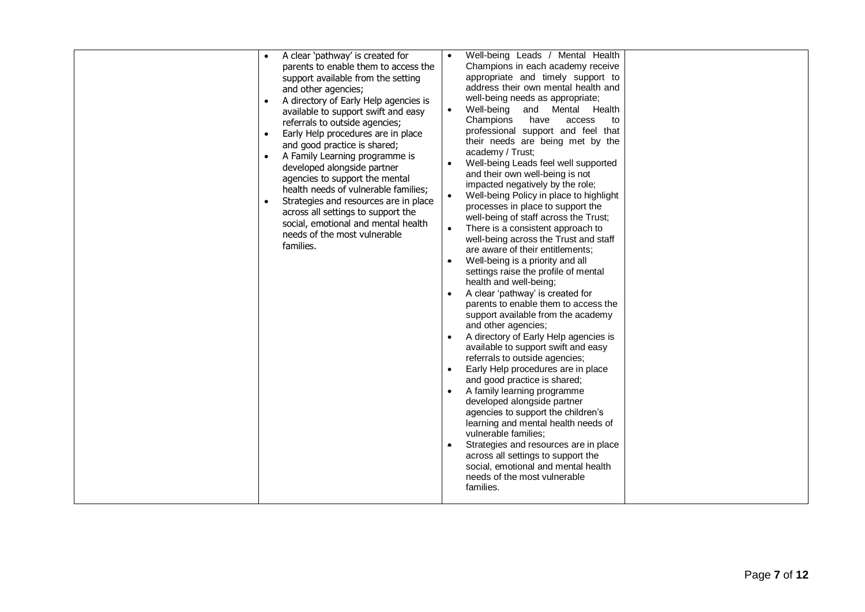|           | A clear 'pathway' is created for      |           | Well-being Leads / Mental Health                                         |  |
|-----------|---------------------------------------|-----------|--------------------------------------------------------------------------|--|
|           | parents to enable them to access the  |           | Champions in each academy receive                                        |  |
|           | support available from the setting    |           | appropriate and timely support to                                        |  |
|           | and other agencies;                   |           | address their own mental health and                                      |  |
| $\bullet$ | A directory of Early Help agencies is |           | well-being needs as appropriate;                                         |  |
|           | available to support swift and easy   |           | Well-being<br>and Mental Health                                          |  |
|           | referrals to outside agencies;        |           | Champions<br>have<br>access<br>to                                        |  |
|           | Early Help procedures are in place    |           | professional support and feel that                                       |  |
|           | and good practice is shared;          |           | their needs are being met by the                                         |  |
|           | A Family Learning programme is        |           | academy / Trust;                                                         |  |
|           | developed alongside partner           |           | Well-being Leads feel well supported                                     |  |
|           | agencies to support the mental        |           | and their own well-being is not                                          |  |
|           | health needs of vulnerable families;  |           | impacted negatively by the role;                                         |  |
|           | Strategies and resources are in place |           | Well-being Policy in place to highlight                                  |  |
|           | across all settings to support the    |           | processes in place to support the                                        |  |
|           | social, emotional and mental health   |           | well-being of staff across the Trust;                                    |  |
|           | needs of the most vulnerable          | $\bullet$ | There is a consistent approach to                                        |  |
|           | families.                             |           | well-being across the Trust and staff                                    |  |
|           |                                       |           | are aware of their entitlements;                                         |  |
|           |                                       |           | Well-being is a priority and all<br>settings raise the profile of mental |  |
|           |                                       |           | health and well-being;                                                   |  |
|           |                                       |           | A clear 'pathway' is created for                                         |  |
|           |                                       |           | parents to enable them to access the                                     |  |
|           |                                       |           | support available from the academy                                       |  |
|           |                                       |           | and other agencies;                                                      |  |
|           |                                       |           | A directory of Early Help agencies is                                    |  |
|           |                                       |           | available to support swift and easy                                      |  |
|           |                                       |           | referrals to outside agencies;                                           |  |
|           |                                       |           | Early Help procedures are in place                                       |  |
|           |                                       |           | and good practice is shared;                                             |  |
|           |                                       |           | A family learning programme                                              |  |
|           |                                       |           | developed alongside partner                                              |  |
|           |                                       |           | agencies to support the children's                                       |  |
|           |                                       |           | learning and mental health needs of                                      |  |
|           |                                       |           | vulnerable families;                                                     |  |
|           |                                       |           | Strategies and resources are in place                                    |  |
|           |                                       |           | across all settings to support the                                       |  |
|           |                                       |           | social, emotional and mental health                                      |  |
|           |                                       |           | needs of the most vulnerable                                             |  |
|           |                                       |           | families.                                                                |  |
|           |                                       |           |                                                                          |  |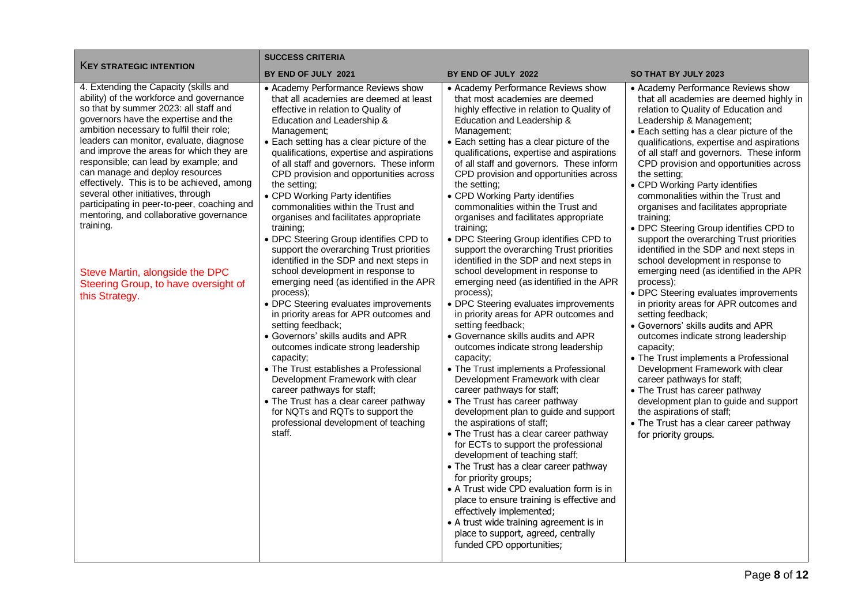|                                                                                                                                                                                                                                                                                                                                                                                                                                                                                                                                                                                                                                                                           | <b>SUCCESS CRITERIA</b>                                                                                                                                                                                                                                                                                                                                                                                                                                                                                                                                                                                                                                                                                                                                                                                                                                                                                                                                                                                                                                                                                                                                                    |                                                                                                                                                                                                                                                                                                                                                                                                                                                                                                                                                                                                                                                                                                                                                                                                                                                                                                                                                                                                                                                                                                                                                                                                                                                                                                                                                                                                                                                                                                                                                                            |                                                                                                                                                                                                                                                                                                                                                                                                                                                                                                                                                                                                                                                                                                                                                                                                                                                                                                                                                                                                                                                                                                                                                                                                      |  |  |  |
|---------------------------------------------------------------------------------------------------------------------------------------------------------------------------------------------------------------------------------------------------------------------------------------------------------------------------------------------------------------------------------------------------------------------------------------------------------------------------------------------------------------------------------------------------------------------------------------------------------------------------------------------------------------------------|----------------------------------------------------------------------------------------------------------------------------------------------------------------------------------------------------------------------------------------------------------------------------------------------------------------------------------------------------------------------------------------------------------------------------------------------------------------------------------------------------------------------------------------------------------------------------------------------------------------------------------------------------------------------------------------------------------------------------------------------------------------------------------------------------------------------------------------------------------------------------------------------------------------------------------------------------------------------------------------------------------------------------------------------------------------------------------------------------------------------------------------------------------------------------|----------------------------------------------------------------------------------------------------------------------------------------------------------------------------------------------------------------------------------------------------------------------------------------------------------------------------------------------------------------------------------------------------------------------------------------------------------------------------------------------------------------------------------------------------------------------------------------------------------------------------------------------------------------------------------------------------------------------------------------------------------------------------------------------------------------------------------------------------------------------------------------------------------------------------------------------------------------------------------------------------------------------------------------------------------------------------------------------------------------------------------------------------------------------------------------------------------------------------------------------------------------------------------------------------------------------------------------------------------------------------------------------------------------------------------------------------------------------------------------------------------------------------------------------------------------------------|------------------------------------------------------------------------------------------------------------------------------------------------------------------------------------------------------------------------------------------------------------------------------------------------------------------------------------------------------------------------------------------------------------------------------------------------------------------------------------------------------------------------------------------------------------------------------------------------------------------------------------------------------------------------------------------------------------------------------------------------------------------------------------------------------------------------------------------------------------------------------------------------------------------------------------------------------------------------------------------------------------------------------------------------------------------------------------------------------------------------------------------------------------------------------------------------------|--|--|--|
| <b>KEY STRATEGIC INTENTION</b>                                                                                                                                                                                                                                                                                                                                                                                                                                                                                                                                                                                                                                            | BY END OF JULY 2021                                                                                                                                                                                                                                                                                                                                                                                                                                                                                                                                                                                                                                                                                                                                                                                                                                                                                                                                                                                                                                                                                                                                                        | BY END OF JULY 2022                                                                                                                                                                                                                                                                                                                                                                                                                                                                                                                                                                                                                                                                                                                                                                                                                                                                                                                                                                                                                                                                                                                                                                                                                                                                                                                                                                                                                                                                                                                                                        | <b>SO THAT BY JULY 2023</b>                                                                                                                                                                                                                                                                                                                                                                                                                                                                                                                                                                                                                                                                                                                                                                                                                                                                                                                                                                                                                                                                                                                                                                          |  |  |  |
| 4. Extending the Capacity (skills and<br>ability) of the workforce and governance<br>so that by summer 2023: all staff and<br>governors have the expertise and the<br>ambition necessary to fulfil their role;<br>leaders can monitor, evaluate, diagnose<br>and improve the areas for which they are<br>responsible; can lead by example; and<br>can manage and deploy resources<br>effectively. This is to be achieved, among<br>several other initiatives, through<br>participating in peer-to-peer, coaching and<br>mentoring, and collaborative governance<br>training.<br>Steve Martin, alongside the DPC<br>Steering Group, to have oversight of<br>this Strategy. | • Academy Performance Reviews show<br>that all academies are deemed at least<br>effective in relation to Quality of<br>Education and Leadership &<br>Management;<br>• Each setting has a clear picture of the<br>qualifications, expertise and aspirations<br>of all staff and governors. These inform<br>CPD provision and opportunities across<br>the setting;<br>• CPD Working Party identifies<br>commonalities within the Trust and<br>organises and facilitates appropriate<br>training;<br>• DPC Steering Group identifies CPD to<br>support the overarching Trust priorities<br>identified in the SDP and next steps in<br>school development in response to<br>emerging need (as identified in the APR<br>process);<br>• DPC Steering evaluates improvements<br>in priority areas for APR outcomes and<br>setting feedback;<br>• Governors' skills audits and APR<br>outcomes indicate strong leadership<br>capacity;<br>• The Trust establishes a Professional<br>Development Framework with clear<br>career pathways for staff;<br>• The Trust has a clear career pathway<br>for NQTs and RQTs to support the<br>professional development of teaching<br>staff. | • Academy Performance Reviews show<br>that most academies are deemed<br>highly effective in relation to Quality of<br>Education and Leadership &<br>Management;<br>• Each setting has a clear picture of the<br>qualifications, expertise and aspirations<br>of all staff and governors. These inform<br>CPD provision and opportunities across<br>the setting:<br>• CPD Working Party identifies<br>commonalities within the Trust and<br>organises and facilitates appropriate<br>training;<br>• DPC Steering Group identifies CPD to<br>support the overarching Trust priorities<br>identified in the SDP and next steps in<br>school development in response to<br>emerging need (as identified in the APR<br>process);<br>• DPC Steering evaluates improvements<br>in priority areas for APR outcomes and<br>setting feedback;<br>• Governance skills audits and APR<br>outcomes indicate strong leadership<br>capacity;<br>• The Trust implements a Professional<br>Development Framework with clear<br>career pathways for staff;<br>• The Trust has career pathway<br>development plan to guide and support<br>the aspirations of staff;<br>• The Trust has a clear career pathway<br>for ECTs to support the professional<br>development of teaching staff;<br>• The Trust has a clear career pathway<br>for priority groups;<br>• A Trust wide CPD evaluation form is in<br>place to ensure training is effective and<br>effectively implemented;<br>• A trust wide training agreement is in<br>place to support, agreed, centrally<br>funded CPD opportunities; | • Academy Performance Reviews show<br>that all academies are deemed highly in<br>relation to Quality of Education and<br>Leadership & Management;<br>• Each setting has a clear picture of the<br>qualifications, expertise and aspirations<br>of all staff and governors. These inform<br>CPD provision and opportunities across<br>the setting;<br>• CPD Working Party identifies<br>commonalities within the Trust and<br>organises and facilitates appropriate<br>training;<br>• DPC Steering Group identifies CPD to<br>support the overarching Trust priorities<br>identified in the SDP and next steps in<br>school development in response to<br>emerging need (as identified in the APR<br>process);<br>• DPC Steering evaluates improvements<br>in priority areas for APR outcomes and<br>setting feedback;<br>• Governors' skills audits and APR<br>outcomes indicate strong leadership<br>capacity;<br>• The Trust implements a Professional<br>Development Framework with clear<br>career pathways for staff;<br>• The Trust has career pathway<br>development plan to guide and support<br>the aspirations of staff;<br>• The Trust has a clear career pathway<br>for priority groups. |  |  |  |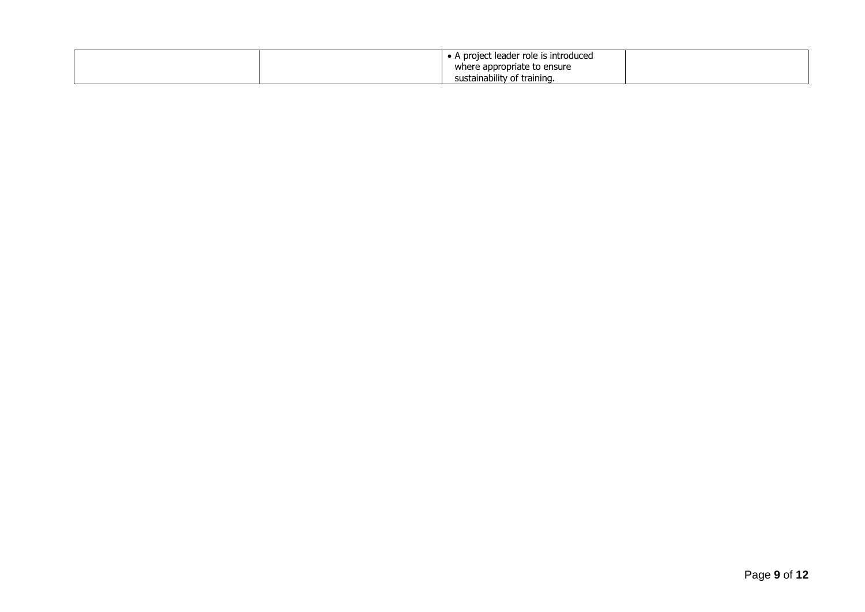| t leader role is introduced<br>5.5.7.7<br><u>DI OIEC</u> |
|----------------------------------------------------------|
| where appropriate to ensure                              |
| sustainability of training.                              |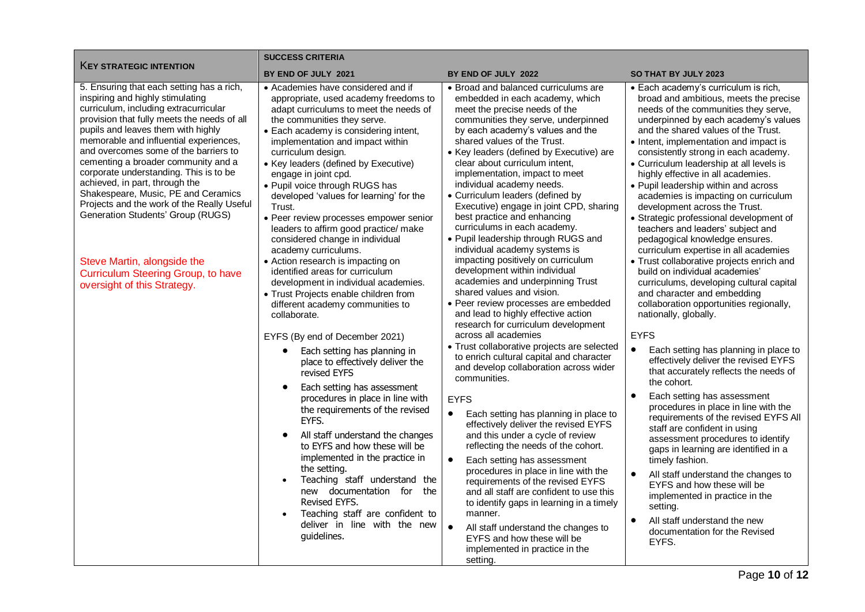|                                                                                                                                                                                                                                                                                                                                                                                                                                                                                                                                                                                                                                                 | <b>SUCCESS CRITERIA</b>                                                                                                                                                                                                                                                                                                                                                                                                                                                                                                                                                                                                                                                                                                                                                                                                                                                                                                                                                                                                                                                                                                                                                                                                                                                                                                             |                                                                                                                                                                                                                                                                                                                                                                                                                                                                                                                                                                                                                                                                                                                                                                                                                                                                                                                                                                                                                                                                                                                                                                                                                                                                                                                                                                                                                                                                                                                                                                                    |                                                                                                                                                                                                                                                                                                                                                                                                                                                                                                                                                                                                                                                                                                                                                                                                                                                                                                                                                                                                                                                                                                                                                                                                                                                                                                                                                                                                                                                                                                                                             |  |  |
|-------------------------------------------------------------------------------------------------------------------------------------------------------------------------------------------------------------------------------------------------------------------------------------------------------------------------------------------------------------------------------------------------------------------------------------------------------------------------------------------------------------------------------------------------------------------------------------------------------------------------------------------------|-------------------------------------------------------------------------------------------------------------------------------------------------------------------------------------------------------------------------------------------------------------------------------------------------------------------------------------------------------------------------------------------------------------------------------------------------------------------------------------------------------------------------------------------------------------------------------------------------------------------------------------------------------------------------------------------------------------------------------------------------------------------------------------------------------------------------------------------------------------------------------------------------------------------------------------------------------------------------------------------------------------------------------------------------------------------------------------------------------------------------------------------------------------------------------------------------------------------------------------------------------------------------------------------------------------------------------------|------------------------------------------------------------------------------------------------------------------------------------------------------------------------------------------------------------------------------------------------------------------------------------------------------------------------------------------------------------------------------------------------------------------------------------------------------------------------------------------------------------------------------------------------------------------------------------------------------------------------------------------------------------------------------------------------------------------------------------------------------------------------------------------------------------------------------------------------------------------------------------------------------------------------------------------------------------------------------------------------------------------------------------------------------------------------------------------------------------------------------------------------------------------------------------------------------------------------------------------------------------------------------------------------------------------------------------------------------------------------------------------------------------------------------------------------------------------------------------------------------------------------------------------------------------------------------------|---------------------------------------------------------------------------------------------------------------------------------------------------------------------------------------------------------------------------------------------------------------------------------------------------------------------------------------------------------------------------------------------------------------------------------------------------------------------------------------------------------------------------------------------------------------------------------------------------------------------------------------------------------------------------------------------------------------------------------------------------------------------------------------------------------------------------------------------------------------------------------------------------------------------------------------------------------------------------------------------------------------------------------------------------------------------------------------------------------------------------------------------------------------------------------------------------------------------------------------------------------------------------------------------------------------------------------------------------------------------------------------------------------------------------------------------------------------------------------------------------------------------------------------------|--|--|
| <b>KEY STRATEGIC INTENTION</b>                                                                                                                                                                                                                                                                                                                                                                                                                                                                                                                                                                                                                  | BY END OF JULY 2021                                                                                                                                                                                                                                                                                                                                                                                                                                                                                                                                                                                                                                                                                                                                                                                                                                                                                                                                                                                                                                                                                                                                                                                                                                                                                                                 | BY END OF JULY 2022                                                                                                                                                                                                                                                                                                                                                                                                                                                                                                                                                                                                                                                                                                                                                                                                                                                                                                                                                                                                                                                                                                                                                                                                                                                                                                                                                                                                                                                                                                                                                                | SO THAT BY JULY 2023                                                                                                                                                                                                                                                                                                                                                                                                                                                                                                                                                                                                                                                                                                                                                                                                                                                                                                                                                                                                                                                                                                                                                                                                                                                                                                                                                                                                                                                                                                                        |  |  |
| 5. Ensuring that each setting has a rich,<br>inspiring and highly stimulating<br>curriculum, including extracurricular<br>provision that fully meets the needs of all<br>pupils and leaves them with highly<br>memorable and influential experiences,<br>and overcomes some of the barriers to<br>cementing a broader community and a<br>corporate understanding. This is to be<br>achieved, in part, through the<br>Shakespeare, Music, PE and Ceramics<br>Projects and the work of the Really Useful<br>Generation Students' Group (RUGS)<br>Steve Martin, alongside the<br>Curriculum Steering Group, to have<br>oversight of this Strategy. | • Academies have considered and if<br>appropriate, used academy freedoms to<br>adapt curriculums to meet the needs of<br>the communities they serve.<br>• Each academy is considering intent,<br>implementation and impact within<br>curriculum design.<br>• Key leaders (defined by Executive)<br>engage in joint cpd.<br>• Pupil voice through RUGS has<br>developed 'values for learning' for the<br>Trust.<br>• Peer review processes empower senior<br>leaders to affirm good practice/ make<br>considered change in individual<br>academy curriculums.<br>• Action research is impacting on<br>identified areas for curriculum<br>development in individual academies.<br>• Trust Projects enable children from<br>different academy communities to<br>collaborate.<br>EYFS (By end of December 2021)<br>Each setting has planning in<br>$\bullet$<br>place to effectively deliver the<br>revised EYFS<br>Each setting has assessment<br>procedures in place in line with<br>the requirements of the revised<br>EYFS.<br>All staff understand the changes<br>$\bullet$<br>to EYFS and how these will be<br>implemented in the practice in<br>the setting.<br>Teaching staff understand the<br>new documentation for<br>the<br>Revised EYFS.<br>Teaching staff are confident to<br>deliver in line with the new<br>guidelines. | • Broad and balanced curriculums are<br>embedded in each academy, which<br>meet the precise needs of the<br>communities they serve, underpinned<br>by each academy's values and the<br>shared values of the Trust.<br>• Key leaders (defined by Executive) are<br>clear about curriculum intent,<br>implementation, impact to meet<br>individual academy needs.<br>• Curriculum leaders (defined by<br>Executive) engage in joint CPD, sharing<br>best practice and enhancing<br>curriculums in each academy.<br>• Pupil leadership through RUGS and<br>individual academy systems is<br>impacting positively on curriculum<br>development within individual<br>academies and underpinning Trust<br>shared values and vision.<br>• Peer review processes are embedded<br>and lead to highly effective action<br>research for curriculum development<br>across all academies<br>• Trust collaborative projects are selected<br>to enrich cultural capital and character<br>and develop collaboration across wider<br>communities.<br><b>EYFS</b><br>Each setting has planning in place to<br>$\bullet$<br>effectively deliver the revised EYFS<br>and this under a cycle of review<br>reflecting the needs of the cohort.<br>$\bullet$<br>Each setting has assessment<br>procedures in place in line with the<br>requirements of the revised EYFS<br>and all staff are confident to use this<br>to identify gaps in learning in a timely<br>manner.<br>$\bullet$<br>All staff understand the changes to<br>EYFS and how these will be<br>implemented in practice in the<br>setting. | • Each academy's curriculum is rich,<br>broad and ambitious, meets the precise<br>needs of the communities they serve,<br>underpinned by each academy's values<br>and the shared values of the Trust.<br>• Intent, implementation and impact is<br>consistently strong in each academy.<br>• Curriculum leadership at all levels is<br>highly effective in all academies.<br>• Pupil leadership within and across<br>academies is impacting on curriculum<br>development across the Trust.<br>• Strategic professional development of<br>teachers and leaders' subject and<br>pedagogical knowledge ensures.<br>curriculum expertise in all academies<br>• Trust collaborative projects enrich and<br>build on individual academies'<br>curriculums, developing cultural capital<br>and character and embedding<br>collaboration opportunities regionally,<br>nationally, globally.<br><b>EYFS</b><br>$\bullet$<br>Each setting has planning in place to<br>effectively deliver the revised EYFS<br>that accurately reflects the needs of<br>the cohort.<br>Each setting has assessment<br>$\bullet$<br>procedures in place in line with the<br>requirements of the revised EYFS All<br>staff are confident in using<br>assessment procedures to identify<br>gaps in learning are identified in a<br>timely fashion.<br>All staff understand the changes to<br>$\bullet$<br>EYFS and how these will be<br>implemented in practice in the<br>setting.<br>All staff understand the new<br>$\bullet$<br>documentation for the Revised<br>EYFS. |  |  |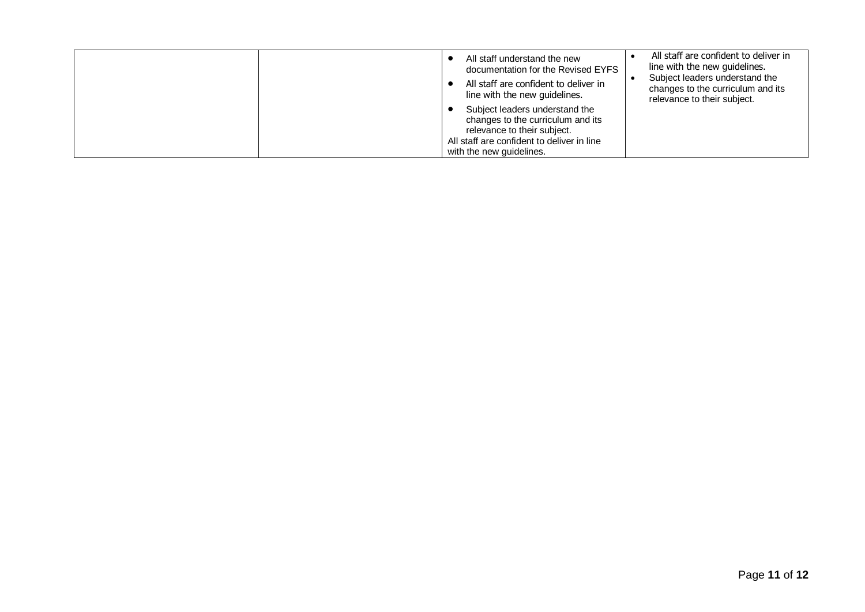| All staff are confident to deliver in<br>All staff understand the new<br>line with the new guidelines.<br>documentation for the Revised EYFS                                 |
|------------------------------------------------------------------------------------------------------------------------------------------------------------------------------|
| Subject leaders understand the<br>All staff are confident to deliver in<br>changes to the curriculum and its<br>line with the new guidelines.<br>relevance to their subject. |
| Subject leaders understand the<br>changes to the curriculum and its<br>relevance to their subject.<br>All staff are confident to deliver in line<br>with the new quidelines. |